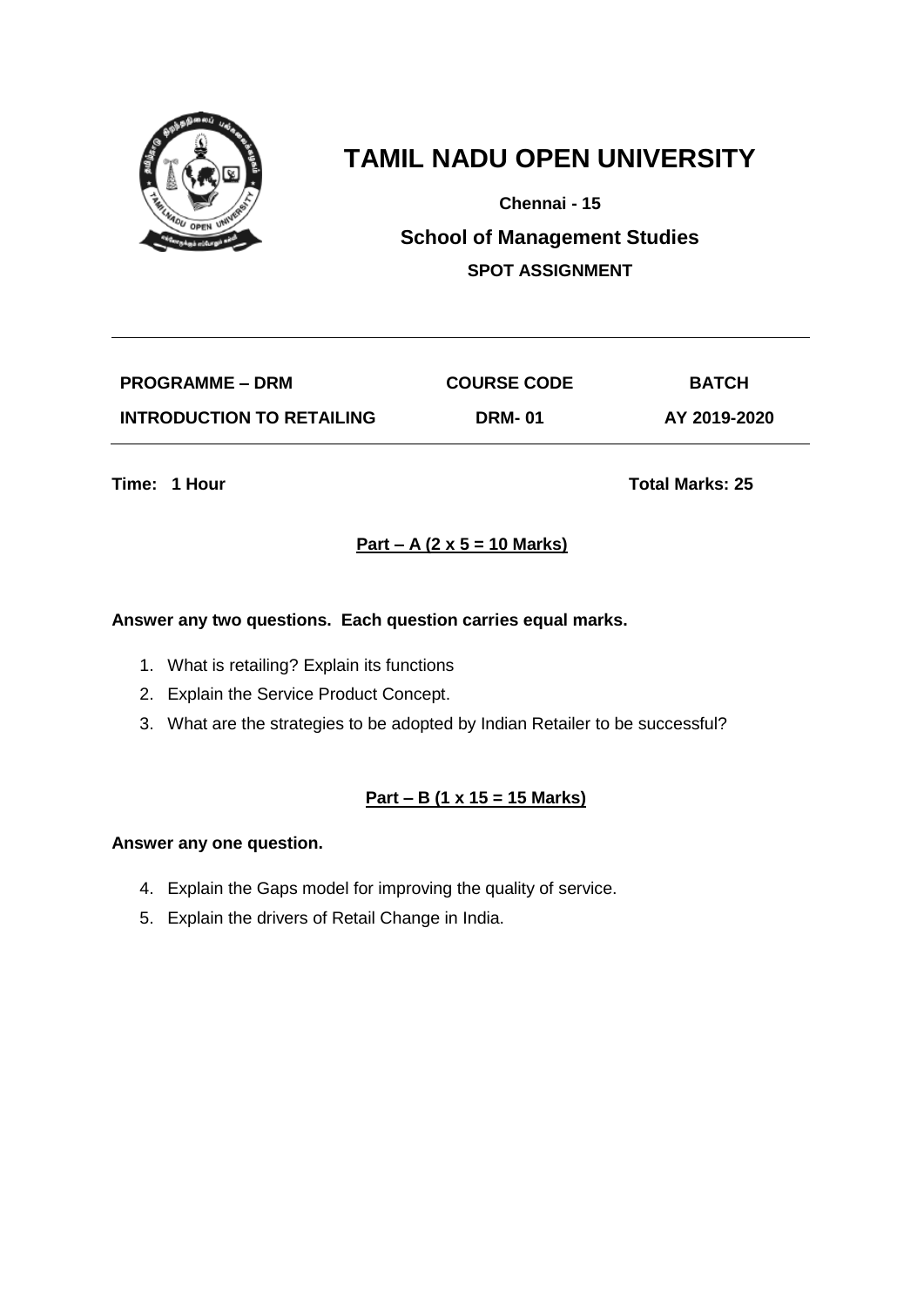

**Chennai - 15**

**School of Management Studies SPOT ASSIGNMENT**

| <b>PROGRAMME – DRM</b>           | <b>COURSE CODE</b> | <b>BATCH</b> |
|----------------------------------|--------------------|--------------|
| <b>INTRODUCTION TO RETAILING</b> | <b>DRM-01</b>      | AY 2019-2020 |

**Time: 1 Hour Total Marks: 25** 

# **Part – A (2 x 5 = 10 Marks)**

### **Answer any two questions. Each question carries equal marks.**

- 1. What is retailing? Explain its functions
- 2. Explain the Service Product Concept.
- 3. What are the strategies to be adopted by Indian Retailer to be successful?

### **Part – B (1 x 15 = 15 Marks)**

- 4. Explain the Gaps model for improving the quality of service.
- 5. Explain the drivers of Retail Change in India.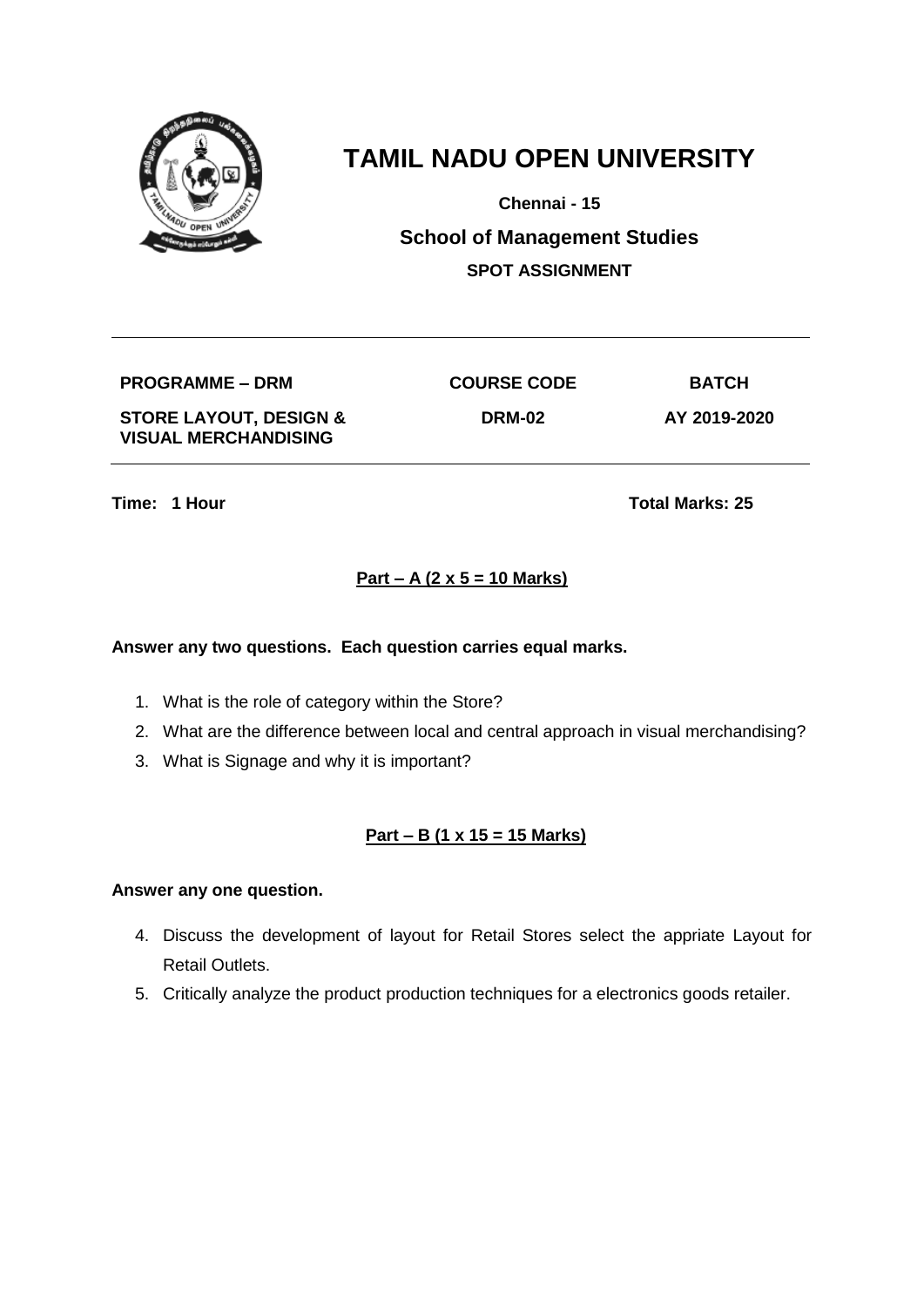

**Chennai - 15**

**School of Management Studies SPOT ASSIGNMENT**

**PROGRAMME – DRM COURSE CODE BATCH**

**STORE LAYOUT, DESIGN & VISUAL MERCHANDISING**

**DRM-02 AY 2019-2020**

**Time: 1 Hour Total Marks: 25** 

# **Part – A (2 x 5 = 10 Marks)**

### **Answer any two questions. Each question carries equal marks.**

- 1. What is the role of category within the Store?
- 2. What are the difference between local and central approach in visual merchandising?
- 3. What is Signage and why it is important?

# **Part – B (1 x 15 = 15 Marks)**

- 4. Discuss the development of layout for Retail Stores select the appriate Layout for Retail Outlets.
- 5. Critically analyze the product production techniques for a electronics goods retailer.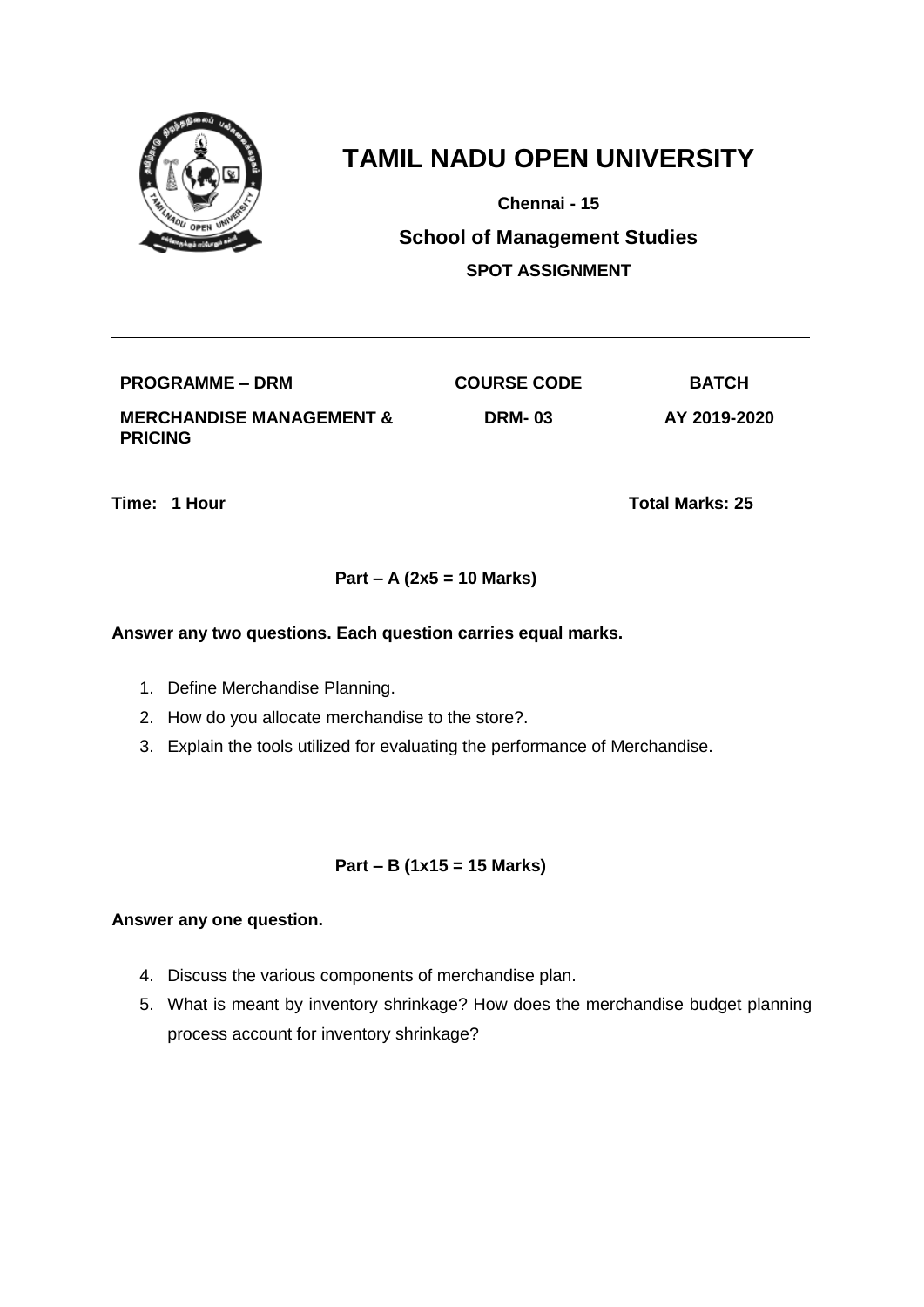

**Chennai - 15**

**School of Management Studies SPOT ASSIGNMENT**

| <b>PROGRAMME – DRM</b>                                | <b>COURSE CODE</b> | <b>BATCH</b> |
|-------------------------------------------------------|--------------------|--------------|
| <b>MERCHANDISE MANAGEMENT &amp;</b><br><b>PRICING</b> | <b>DRM-03</b>      | AY 2019-2020 |

**Time: 1 Hour Total Marks: 25** 

### **Part – A (2x5 = 10 Marks)**

#### **Answer any two questions. Each question carries equal marks.**

- 1. Define Merchandise Planning.
- 2. How do you allocate merchandise to the store?.
- 3. Explain the tools utilized for evaluating the performance of Merchandise.

### **Part – B (1x15 = 15 Marks)**

- 4. Discuss the various components of merchandise plan.
- 5. What is meant by inventory shrinkage? How does the merchandise budget planning process account for inventory shrinkage?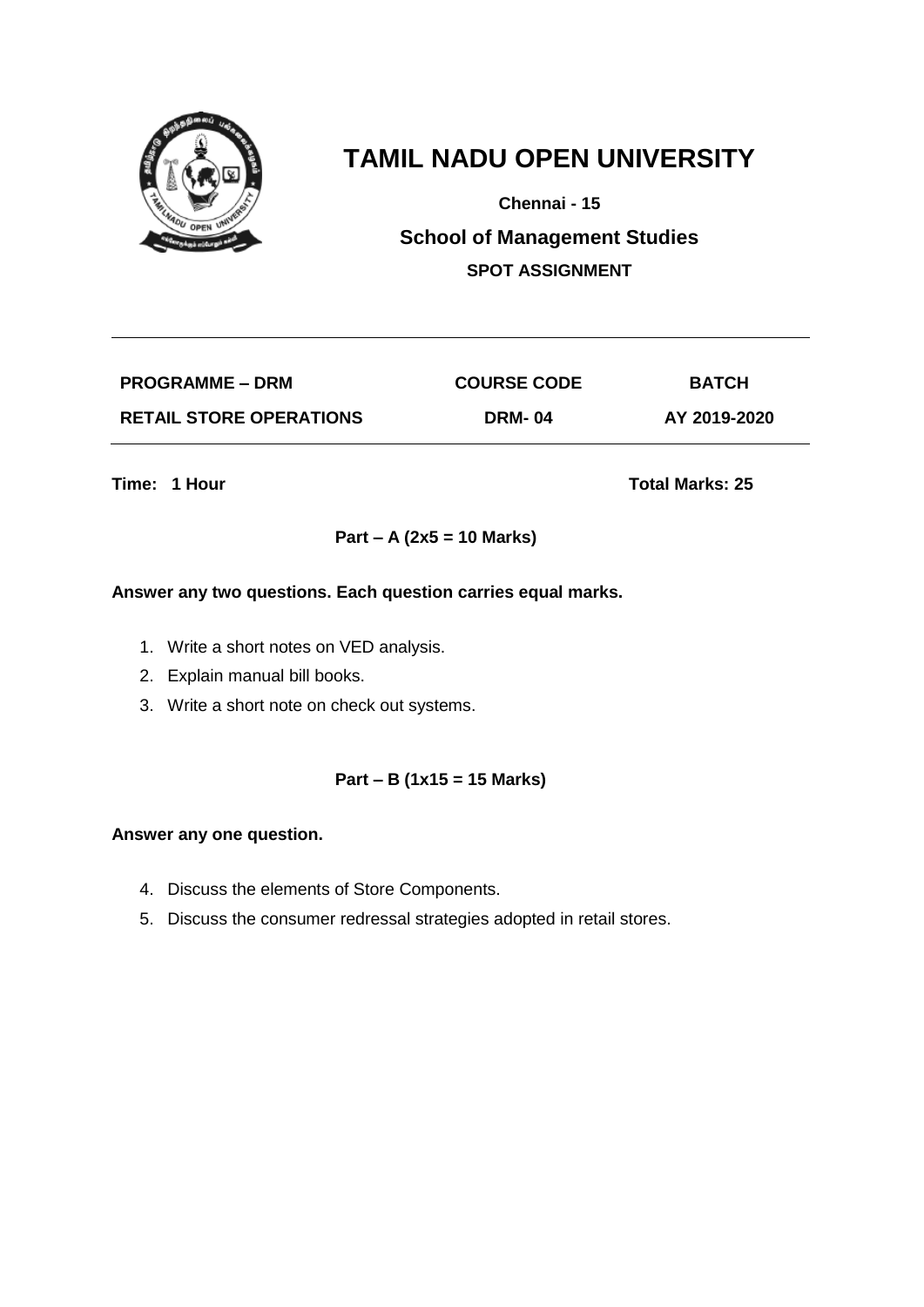

**Chennai - 15**

**School of Management Studies SPOT ASSIGNMENT**

| <b>PROGRAMME – DRM</b>         | <b>COURSE CODE</b> | <b>BATCH</b> |
|--------------------------------|--------------------|--------------|
| <b>RETAIL STORE OPERATIONS</b> | <b>DRM-04</b>      | AY 2019-2020 |

**Time: 1 Hour Total Marks: 25** 

### **Part – A (2x5 = 10 Marks)**

#### **Answer any two questions. Each question carries equal marks.**

- 1. Write a short notes on VED analysis.
- 2. Explain manual bill books.
- 3. Write a short note on check out systems.

### **Part – B (1x15 = 15 Marks)**

- 4. Discuss the elements of Store Components.
- 5. Discuss the consumer redressal strategies adopted in retail stores.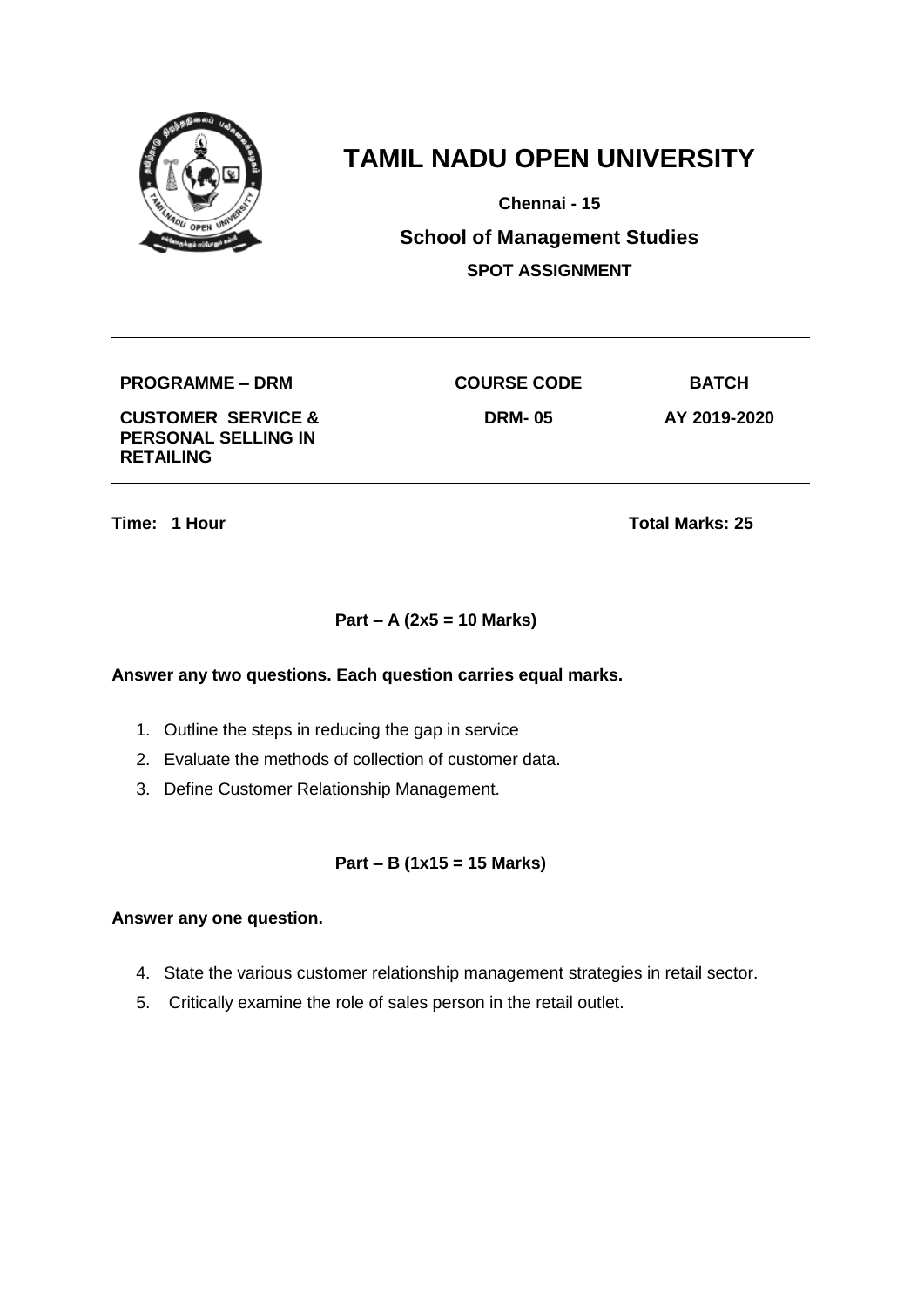

**Chennai - 15**

**School of Management Studies SPOT ASSIGNMENT**

**PROGRAMME – DRM COURSE CODE BATCH**

**CUSTOMER SERVICE & PERSONAL SELLING IN RETAILING**

**DRM- 05 AY 2019-2020**

**Time: 1 Hour Total Marks: 25** 

## **Part – A (2x5 = 10 Marks)**

#### **Answer any two questions. Each question carries equal marks.**

- 1. Outline the steps in reducing the gap in service
- 2. Evaluate the methods of collection of customer data.
- 3. Define Customer Relationship Management.

### **Part – B (1x15 = 15 Marks)**

- 4. State the various customer relationship management strategies in retail sector.
- 5. Critically examine the role of sales person in the retail outlet.